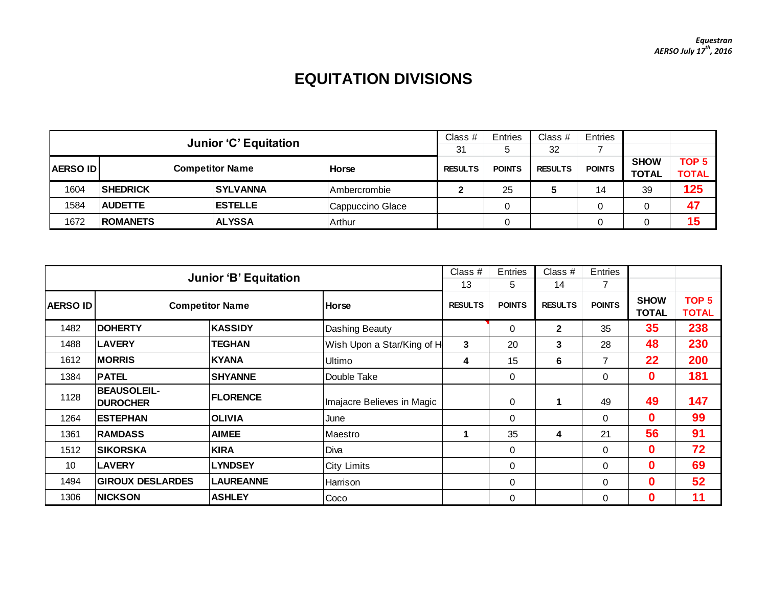## **EQUITATION DIVISIONS**

|                                            | <b>Junior 'C' Equitation</b> |                 |                      |                | <b>Entries</b> | Class $#$      | <b>Entries</b> |                             |                       |
|--------------------------------------------|------------------------------|-----------------|----------------------|----------------|----------------|----------------|----------------|-----------------------------|-----------------------|
|                                            |                              |                 |                      |                |                | 32             |                |                             |                       |
| <b>Competitor Name</b><br><b>AERSO IDI</b> |                              |                 | <b>Horse</b>         | <b>RESULTS</b> | <b>POINTS</b>  | <b>RESULTS</b> | <b>POINTS</b>  | <b>SHOW</b><br><b>TOTAL</b> | TOP 5<br><b>TOTAL</b> |
| 1604                                       | <b>SHEDRICK</b>              | <b>SYLVANNA</b> | <b>IAmbercrombie</b> |                | 25             |                | 14             | 39                          | 125                   |
| 1584                                       | <b>AUDETTE</b>               | <b>ESTELLE</b>  | Cappuccino Glace     |                |                |                |                |                             | 47                    |
| 1672                                       | <b>ROMANETS</b>              | <b>ALYSSA</b>   | Arthur               |                |                |                |                |                             | 15                    |

|                 | <b>Junior 'B' Equitation</b>          |                  |                            |               |                | Class $#$      | Entries              |                                  |     |
|-----------------|---------------------------------------|------------------|----------------------------|---------------|----------------|----------------|----------------------|----------------------------------|-----|
|                 |                                       |                  |                            | 13            | 5              | 14             |                      |                                  |     |
| <b>AERSO ID</b> | <b>Competitor Name</b>                | <b>I</b> Horse   | <b>RESULTS</b>             | <b>POINTS</b> | <b>RESULTS</b> | <b>POINTS</b>  | <b>SHOW</b><br>TOTAL | TOP <sub>5</sub><br><b>TOTAL</b> |     |
| 1482            | <b>DOHERTY</b>                        | <b>KASSIDY</b>   | Dashing Beauty             |               | 0              | $\overline{2}$ | 35                   | 35 <sub>5</sub>                  | 238 |
| 1488            | <b>LAVERY</b>                         | <b>TEGHAN</b>    | Wish Upon a Star/King of H | 3             | 20             | 3              | 28                   | 48                               | 230 |
| 1612            | <b>MORRIS</b>                         | <b>KYANA</b>     | Ultimo                     | 4             | 15             | 6              | 7                    | 22                               | 200 |
| 1384            | <b>PATEL</b>                          | <b>SHYANNE</b>   | Double Take                |               | 0              |                | $\Omega$             | 0                                | 181 |
| 1128            | <b>BEAUSOLEIL-</b><br><b>DUROCHER</b> | <b>IFLORENCE</b> | Imajacre Believes in Magic |               | 0              | -1             | 49                   | 49                               | 147 |
| 1264            | <b>IESTEPHAN</b>                      | <b>OLIVIA</b>    | June                       |               | 0              |                | 0                    | 0                                | 99  |
| 1361            | <b>RAMDASS</b>                        | <b>AIMEE</b>     | <b>Maestro</b>             |               | 35             | 4              | 21                   | 56                               | 91  |
| 1512            | <b>SIKORSKA</b>                       | <b>KIRA</b>      | Diva                       |               | 0              |                | $\mathbf 0$          | 0                                | 72  |
| 10              | <b>LAVERY</b>                         | <b>LYNDSEY</b>   | <b>City Limits</b>         |               | 0              |                | $\Omega$             | 0                                | 69  |
| 1494            | <b>GIROUX DESLARDES</b>               | <b>LAUREANNE</b> | Harrison                   |               | 0              |                | $\Omega$             | $\mathbf{0}$                     | 52  |
| 1306            | <b>NICKSON</b><br><b>ASHLEY</b>       |                  | Coco                       |               | 0              |                | 0                    | $\mathbf{0}$                     | 11  |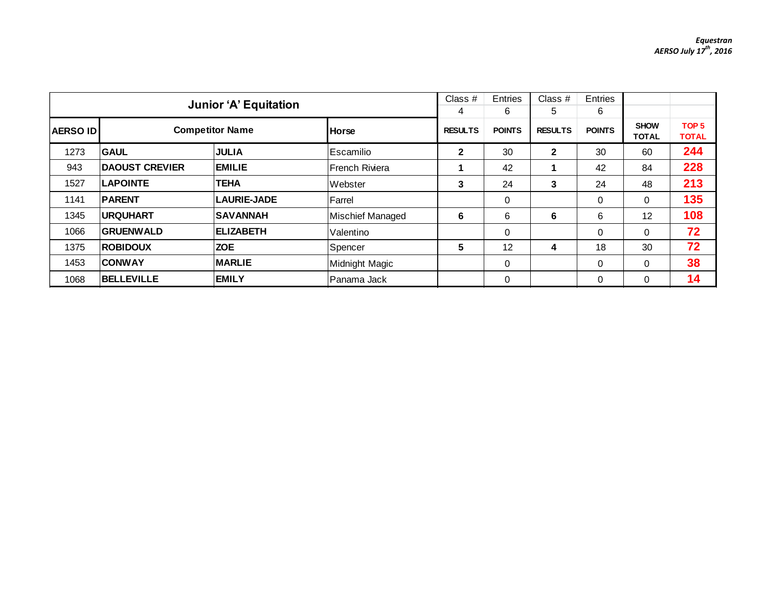|                                    |                       | <b>Junior 'A' Equitation</b> |                  | Class $#$           | Entries            | Class $#$           | Entries            |                      |                                  |
|------------------------------------|-----------------------|------------------------------|------------------|---------------------|--------------------|---------------------|--------------------|----------------------|----------------------------------|
| <b>Competitor Name</b><br>AERSO ID |                       |                              | <b>Horse</b>     | 4<br><b>RESULTS</b> | 6<br><b>POINTS</b> | 5<br><b>RESULTS</b> | 6<br><b>POINTS</b> | <b>SHOW</b><br>TOTAL | TOP <sub>5</sub><br><b>TOTAL</b> |
| 1273                               | <b>GAUL</b>           | <b>JULIA</b>                 | Escamilio        | 2                   | 30                 | $\mathbf{2}$        | 30                 | 60                   | 244                              |
| 943                                | <b>DAOUST CREVIER</b> | <b>EMILIE</b>                | l French Riviera |                     | 42                 |                     | 42                 | 84                   | 228                              |
| 1527                               | <b>LAPOINTE</b>       | <b>TEHA</b>                  | Webster          | 3                   | 24                 | 3                   | 24                 | 48                   | 213                              |
| 1141                               | <b>PARENT</b>         | <b>LAURIE-JADE</b>           | Farrel           |                     | $\mathbf 0$        |                     | 0                  | $\Omega$             | 135                              |
| 1345                               | <b>URQUHART</b>       | <b>SAVANNAH</b>              | Mischief Managed | 6                   | 6                  | 6                   | 6                  | 12                   | 108                              |
| 1066                               | <b>GRUENWALD</b>      | <b>ELIZABETH</b>             | Valentino        |                     | $\mathbf 0$        |                     | $\mathbf 0$        | $\Omega$             | 72                               |
| 1375                               | <b>ROBIDOUX</b>       | <b>ZOE</b>                   | Spencer          | 5                   | 12                 | 4                   | 18                 | 30                   | 72                               |
| 1453                               | <b>CONWAY</b>         | <b>MARLIE</b>                | Midnight Magic   |                     | 0                  |                     | 0                  | $\Omega$             | 38                               |
| 1068                               | <b>BELLEVILLE</b>     | <b>EMILY</b>                 | lPanama Jack     |                     | 0                  |                     | 0                  | $\Omega$             | 14                               |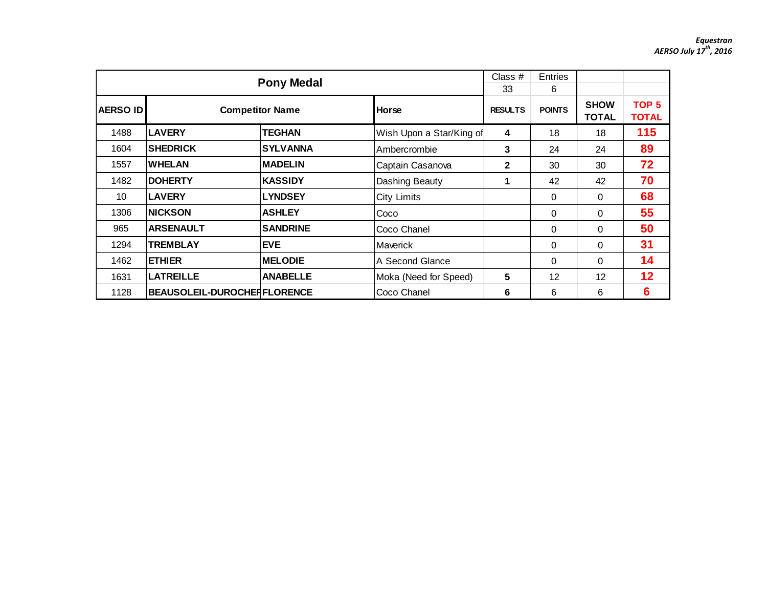|                  |                                    | <b>Pony Medal</b>      |                          | Class #<br>33  | <b>Entries</b><br>6 |                             |                                  |
|------------------|------------------------------------|------------------------|--------------------------|----------------|---------------------|-----------------------------|----------------------------------|
| <b>AERSO IDI</b> |                                    | <b>Competitor Name</b> | <b>Horse</b>             | <b>RESULTS</b> | <b>POINTS</b>       | <b>SHOW</b><br><b>TOTAL</b> | TOP <sub>5</sub><br><b>TOTAL</b> |
| 1488             | <b>LAVERY</b>                      | TEGHAN                 | Wish Upon a Star/King of | 4              | 18                  | 18                          | 115                              |
| 1604             | <b>SHEDRICK</b>                    | <b>SYLVANNA</b>        | Ambercrombie             | 3              | 24                  | 24                          | 89                               |
| 1557             | <b>WHELAN</b>                      | <b>MADELIN</b>         | Captain Casanova         | $\mathbf{2}$   | 30                  | 30                          | 72                               |
| 1482             | <b>DOHERTY</b>                     | <b>KASSIDY</b>         | Dashing Beauty           | $\mathbf 1$    | 42                  | 42                          | 70                               |
| 10               | <b>LAVERY</b>                      | <b>LYNDSEY</b>         | <b>City Limits</b>       |                | $\mathbf 0$         | 0                           | 68                               |
| 1306             | <b>INICKSON</b>                    | <b>ASHLEY</b>          | Coco                     |                | $\Omega$            | $\Omega$                    | 55                               |
| 965              | <b>ARSENAULT</b>                   | <b>SANDRINE</b>        | Coco Chanel              |                | $\Omega$            | $\Omega$                    | 50                               |
| 1294             | <b>TREMBLAY</b>                    | <b>EVE</b>             | <b>Maverick</b>          |                | $\Omega$            | $\Omega$                    | 31                               |
| 1462             | <b>ETHIER</b>                      | <b>MELODIE</b>         | A Second Glance          |                | $\Omega$            | $\Omega$                    | 14                               |
| 1631             | <b>LATREILLE</b>                   | <b>ANABELLE</b>        | Moka (Need for Speed)    | 5              | 12                  | 12                          | 12                               |
| 1128             | <b>BEAUSOLEIL-DUROCHERFLORENCE</b> | Coco Chanel            | 6                        | 6              | 6                   | $6\phantom{1}6$             |                                  |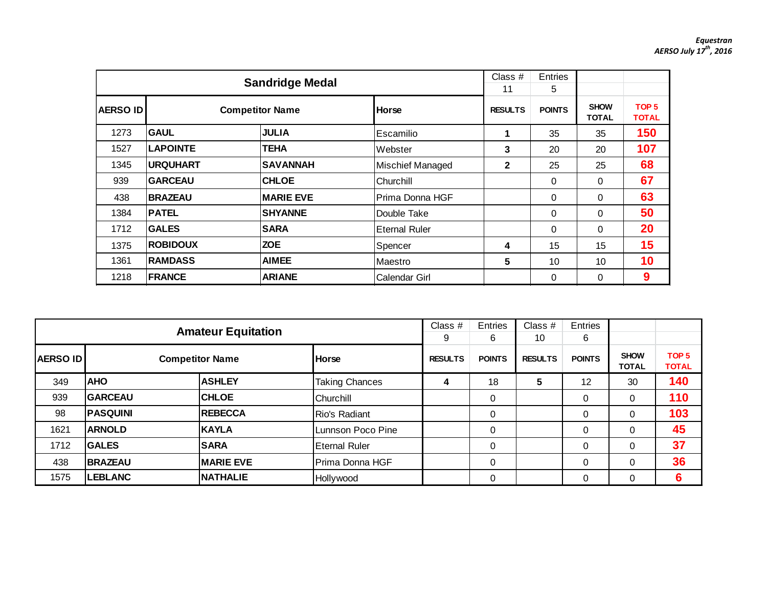|                |                 | <b>Sandridge Medal</b> |                      | Class #<br>11  | Entries<br>5  |                             |                                  |
|----------------|-----------------|------------------------|----------------------|----------------|---------------|-----------------------------|----------------------------------|
| <b>AERSOID</b> |                 | <b>Competitor Name</b> | <b>Horse</b>         | <b>RESULTS</b> | <b>POINTS</b> | <b>SHOW</b><br><b>TOTAL</b> | TOP <sub>5</sub><br><b>TOTAL</b> |
| 1273           | <b>GAUL</b>     | <b>JULIA</b>           | Escamilio            | 1              | 35            | 35                          | 150                              |
| 1527           | <b>LAPOINTE</b> | <b>TEHA</b>            | Webster              | 3              | 20            | 20                          | 107                              |
| 1345           | <b>URQUHART</b> | <b>SAVANNAH</b>        | Mischief Managed     | $\mathbf{2}$   | 25            | 25                          | 68                               |
| 939            | <b>GARCEAU</b>  | <b>CHLOE</b>           | Churchill            |                | 0             | 0                           | 67                               |
| 438            | <b>BRAZEAU</b>  | <b>MARIE EVE</b>       | Prima Donna HGF      |                | $\Omega$      | $\Omega$                    | 63                               |
| 1384           | <b>PATEL</b>    | <b>SHYANNE</b>         | Double Take          |                | $\Omega$      | $\Omega$                    | 50                               |
| 1712           | <b>GALES</b>    | <b>SARA</b>            | <b>Eternal Ruler</b> |                | 0             | 0                           | 20                               |
| 1375           | <b>ROBIDOUX</b> | <b>ZOE</b>             | Spencer              | 4              | 15            | 15                          | 15                               |
| 1361           | <b>RAMDASS</b>  | <b>AIMEE</b>           | Maestro              | 5              | 10            | 10                          | 10                               |
| 1218           | <b>FRANCE</b>   | Calendar Girl          |                      | 0              | $\Omega$      | 9                           |                                  |

|                                                                        |                 | Class $#$        | Entries               | Class #             | Entries            |                      |                    |                             |                                  |
|------------------------------------------------------------------------|-----------------|------------------|-----------------------|---------------------|--------------------|----------------------|--------------------|-----------------------------|----------------------------------|
| <b>Amateur Equitation</b><br><b>AERSO ID</b><br><b>Competitor Name</b> |                 |                  | <b>Horse</b>          | 9<br><b>RESULTS</b> | 6<br><b>POINTS</b> | 10<br><b>RESULTS</b> | 6<br><b>POINTS</b> | <b>SHOW</b><br><b>TOTAL</b> | TOP <sub>5</sub><br><b>TOTAL</b> |
| 349                                                                    | <b>AHO</b>      | <b>ASHLEY</b>    | <b>Taking Chances</b> | 4                   | 18                 | 5                    | 12                 | 30                          | 140                              |
| 939                                                                    | <b>GARCEAU</b>  | <b>CHLOE</b>     | Churchill             |                     | 0                  |                      | 0                  | 0                           | 110                              |
| 98                                                                     | <b>PASQUINI</b> | <b>REBECCA</b>   | <b>Rio's Radiant</b>  |                     | 0                  |                      | 0                  | $\Omega$                    | 103                              |
| 1621                                                                   | <b>ARNOLD</b>   | KAYLA            | Lunnson Poco Pine     |                     | 0                  |                      | 0                  | $\Omega$                    | 45                               |
| 1712                                                                   | <b>GALES</b>    | <b>SARA</b>      | <b>Eternal Ruler</b>  |                     | 0                  |                      | 0                  | $\Omega$                    | 37                               |
| 438                                                                    | <b>BRAZEAU</b>  | <b>MARIE EVE</b> | Prima Donna HGF       |                     | 0                  |                      | 0                  | $\Omega$                    | 36                               |
| 1575                                                                   | <b>LEBLANC</b>  | <b>NATHALIE</b>  | Hollywood             |                     | 0                  |                      | 0                  | 0                           | 6                                |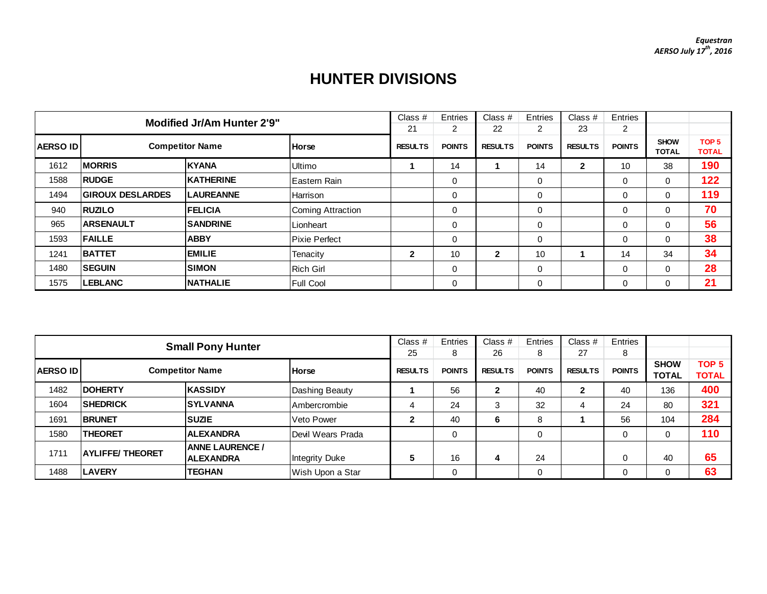## **HUNTER DIVISIONS**

| <b>Modified Jr/Am Hunter 2'9"</b>                         |                         |                  |                      |               | Entries        | Class #       | Entries        | Class $#$     | Entries                     |                                  |     |
|-----------------------------------------------------------|-------------------------|------------------|----------------------|---------------|----------------|---------------|----------------|---------------|-----------------------------|----------------------------------|-----|
|                                                           |                         |                  |                      |               |                | 22            | $\overline{2}$ | 23            | 2                           |                                  |     |
| <b>Competitor Name</b><br><b>AERSO ID</b><br><b>Horse</b> |                         |                  | <b>RESULTS</b>       | <b>POINTS</b> | <b>RESULTS</b> | <b>POINTS</b> | <b>RESULTS</b> | <b>POINTS</b> | <b>SHOW</b><br><b>TOTAL</b> | TOP <sub>5</sub><br><b>TOTAL</b> |     |
| 1612                                                      | <b>IMORRIS</b>          | <b>KYANA</b>     | Ultimo               |               | 14             |               | 14             | $\mathbf{2}$  | 10                          | 38                               | 190 |
| 1588                                                      | <b>RUDGE</b>            | <b>KATHERINE</b> | Eastern Rain         |               | 0              |               | 0              |               | 0                           | $\mathbf 0$                      | 122 |
| 1494                                                      | <b>GIROUX DESLARDES</b> | <b>LAUREANNE</b> | Harrison             |               | 0              |               | 0              |               | 0                           | $\mathbf{0}$                     | 119 |
| 940                                                       | <b>RUZILO</b>           | <b>FELICIA</b>   | Coming Attraction    |               | 0              |               | $\mathbf 0$    |               | $\Omega$                    | 0                                | 70  |
| 965                                                       | <b>ARSENAULT</b>        | <b>SANDRINE</b>  | Lionheart            |               | 0              |               | $\mathbf 0$    |               | $\Omega$                    | 0                                | 56  |
| 1593                                                      | <b>FAILLE</b>           | <b>ABBY</b>      | <b>Pixie Perfect</b> |               | 0              |               | $\mathbf 0$    |               | $\Omega$                    | 0                                | 38  |
| 1241                                                      | <b>BATTET</b>           | <b>EMILIE</b>    | Tenacity             | $\mathbf{2}$  | 10             | $\mathbf{2}$  | 10             |               | 14                          | 34                               | 34  |
| 1480                                                      | <b>SEGUIN</b>           | <b>SIMON</b>     | Rich Girl            |               | 0              |               | $\mathbf 0$    |               | $\Omega$                    | $\mathbf{0}$                     | 28  |
| 1575                                                      | <b>LEBLANC</b>          | <b>NATHALIE</b>  | Full Cool            |               | 0              |               | 0              |               | 0                           | 0                                | 21  |

| <b>Small Pony Hunter</b>                  |                         |                                            |                   |               | Entries        | Class $#$     | Entries        | Class #       | Entries                     |                                  |     |
|-------------------------------------------|-------------------------|--------------------------------------------|-------------------|---------------|----------------|---------------|----------------|---------------|-----------------------------|----------------------------------|-----|
|                                           |                         |                                            |                   |               |                | 26            | 8              | 27            | 8                           |                                  |     |
| <b>AERSO ID</b><br><b>Competitor Name</b> |                         | <b>Horse</b>                               | <b>RESULTS</b>    | <b>POINTS</b> | <b>RESULTS</b> | <b>POINTS</b> | <b>RESULTS</b> | <b>POINTS</b> | <b>SHOW</b><br><b>TOTAL</b> | TOP <sub>5</sub><br><b>TOTAL</b> |     |
| 1482                                      | <b>IDOHERTY</b>         | <b>KASSIDY</b>                             | Dashing Beauty    |               | 56             | 2             | 40             | 2             | 40                          | 136                              | 400 |
| 1604                                      | <b>SHEDRICK</b>         | <b>SYLVANNA</b>                            | Ambercrombie      | 4             | 24             | 3             | 32             | 4             | 24                          | 80                               | 321 |
| 1691                                      | <b>BRUNET</b>           | <b>SUZIE</b>                               | Veto Power        | $\mathbf{2}$  | 40             | 6             | 8              |               | 56                          | 104                              | 284 |
| 1580                                      | <b>THEORET</b>          | <b>ALEXANDRA</b>                           | Devil Wears Prada |               | 0              |               | 0              |               | 0                           |                                  | 110 |
| 1711                                      | <b>AYLIFFE/ THEORET</b> | <b>ANNE LAURENCE /</b><br><b>ALEXANDRA</b> | Integrity Duke    | 5             | 16             | 4             | 24             |               | 0                           | 40                               | 65  |
| 1488                                      | <b>LAVERY</b>           | <b>TEGHAN</b>                              | Wish Upon a Star  |               | 0              |               | 0              |               | 0                           |                                  | 63  |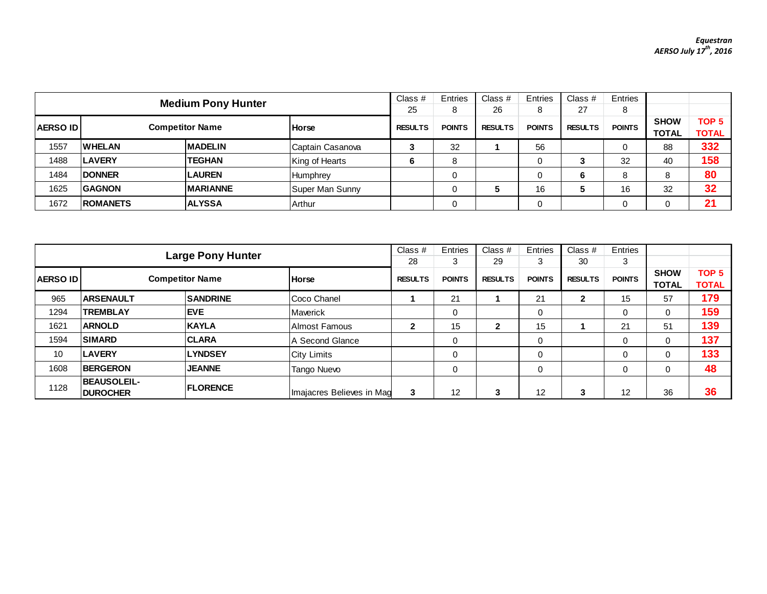|                                                      | <b>Medium Pony Hunter</b> |                  |                  |               |                | Class $#$     | Entries        | Class $#$     | Entries      |                  |     |
|------------------------------------------------------|---------------------------|------------------|------------------|---------------|----------------|---------------|----------------|---------------|--------------|------------------|-----|
|                                                      |                           |                  |                  | 25            | 8              | 26            | 8              | 27            |              |                  |     |
|                                                      |                           |                  | <b>RESULTS</b>   | <b>POINTS</b> | <b>RESULTS</b> | <b>POINTS</b> | <b>RESULTS</b> | <b>POINTS</b> | <b>SHOW</b>  | TOP <sub>5</sub> |     |
| <b>Competitor Name</b><br>AERSO ID<br><b>I</b> Horse |                           |                  |                  |               |                |               |                |               | <b>TOTAL</b> | <b>TOTAL</b>     |     |
| 1557                                                 | <b>WHELAN</b>             | <b>MADELIN</b>   | Captain Casanova | 3             | 32             |               | 56             |               |              | 88               | 332 |
| 1488                                                 | <b>ILAVERY</b>            | <b>TEGHAN</b>    | King of Hearts   | 6             | 8              |               | ν              |               | 32           | 40               | 158 |
| 1484                                                 | <b>IDONNER</b>            | <b>LAUREN</b>    | Humphrey         |               |                |               |                | 6             |              | 8                | 80  |
| 1625                                                 | <b>IGAGNON</b>            | <b>IMARIANNE</b> | Super Man Sunny  |               |                |               | 16             |               | 16           | 32               | 32  |
| 1672                                                 | <b>ROMANETS</b>           | <b>ALYSSA</b>    | Arthur           |               |                |               |                |               |              |                  | 21  |

| <b>Large Pony Hunter</b> |                                       |                 |                           |                | Entries       | Class $#$      | Entries           | Class $#$      | Entries       |                             |                                  |
|--------------------------|---------------------------------------|-----------------|---------------------------|----------------|---------------|----------------|-------------------|----------------|---------------|-----------------------------|----------------------------------|
|                          |                                       |                 |                           |                |               | 29             | 3                 | 30             | 3             |                             |                                  |
| <b>AERSO IDI</b>         | <b>Competitor Name</b>                |                 | <b>Horse</b>              | <b>RESULTS</b> | <b>POINTS</b> | <b>RESULTS</b> | <b>POINTS</b>     | <b>RESULTS</b> | <b>POINTS</b> | <b>SHOW</b><br><b>TOTAL</b> | TOP <sub>5</sub><br><b>TOTAL</b> |
| 965                      | <b>ARSENAULT</b>                      | <b>SANDRINE</b> | Coco Chanel               |                | 21            |                | 21                | $\mathbf{2}$   | 15            | 57                          | 179                              |
| 1294                     | TREMBLAY                              | <b>EVE</b>      | Maverick                  |                | 0             |                | $\mathbf 0$       |                | 0             | $\Omega$                    | 159                              |
| 1621                     | <b>ARNOLD</b>                         | <b>KAYLA</b>    | Almost Famous             | $\mathbf{2}$   | 15            | 2              | 15                |                | 21            | 51                          | 139                              |
| 1594                     | <b>SIMARD</b>                         | <b>ICLARA</b>   | <b>A Second Glance</b>    |                | 0             |                | 0                 |                | 0             | $\Omega$                    | 137                              |
| 10                       | <b>LAVERY</b>                         | <b>LYNDSEY</b>  | <b>City Limits</b>        |                | 0             |                | 0                 |                | 0             | 0                           | 133                              |
| 1608                     | <b>BERGERON</b>                       | <b>JEANNE</b>   | Tango Nuevo               |                | 0             |                | 0                 |                | 0             | $\Omega$                    | 48                               |
| 1128                     | <b>BEAUSOLEIL-</b><br><b>DUROCHER</b> | <b>FLORENCE</b> | Imajacres Believes in Mag | 3              | 12            | 3              | $12 \overline{ }$ | 3              | 12            | 36                          | 36                               |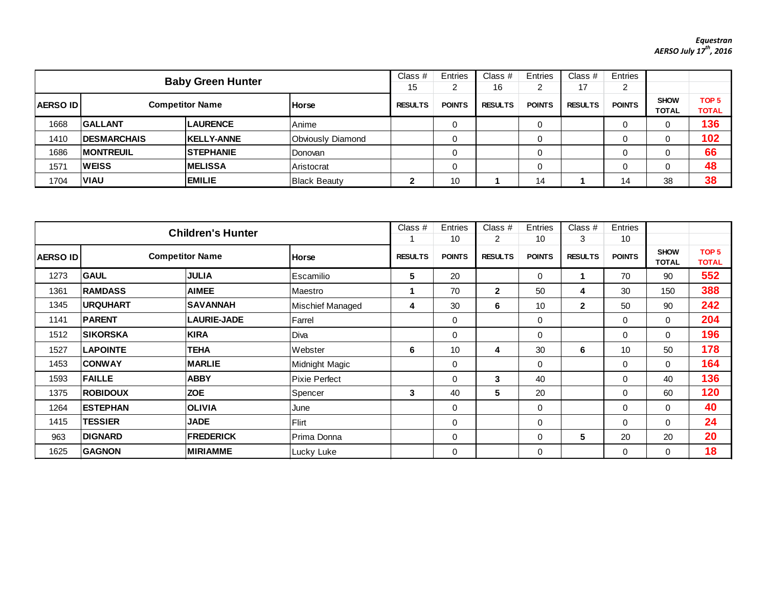## *Equestran AERSO July 17th, 2016*

| <b>Baby Green Hunter</b>                                  |                     |                   |                      |               | Entries        | Class $#$<br>16 | Entries<br>ົ   | Class $#$<br>47    | Entries                     |                                  |     |
|-----------------------------------------------------------|---------------------|-------------------|----------------------|---------------|----------------|-----------------|----------------|--------------------|-----------------------------|----------------------------------|-----|
| <b>AERSO ID</b><br><b>Competitor Name</b><br><b>Horse</b> |                     |                   | 15<br><b>RESULTS</b> | <b>POINTS</b> | <b>RESULTS</b> | <b>POINTS</b>   | <b>RESULTS</b> | ے<br><b>POINTS</b> | <b>SHOW</b><br><b>TOTAL</b> | TOP <sub>5</sub><br><b>TOTAL</b> |     |
| 1668                                                      | <b>GALLANT</b>      | <b>LAURENCE</b>   | Anime                |               |                |                 | 0              |                    |                             |                                  | 136 |
| 1410                                                      | <b>IDESMARCHAIS</b> | <b>KELLY-ANNE</b> | Obviously Diamond    |               |                |                 | 0              |                    |                             |                                  | 102 |
| 1686                                                      | <b>IMONTREUIL</b>   | <b>STEPHANIE</b>  | Donovan              |               |                |                 | 0              |                    |                             |                                  | 66  |
| 1571                                                      | <b>WEISS</b>        | <b>IMELISSA</b>   | Aristocrat           |               |                |                 | 0              |                    |                             |                                  | 48  |
| 1704                                                      | <b>VIAU</b>         | <b>EMILIE</b>     | <b>Black Beauty</b>  | ◠<br>▴        | 10             |                 | 14             |                    | 14                          | 38                               | 38  |

|                                                           | <b>Children's Hunter</b> |                    |                      |                |                     | Class #                          | Entries             | Class $#$           | Entries             |                             |                                  |
|-----------------------------------------------------------|--------------------------|--------------------|----------------------|----------------|---------------------|----------------------------------|---------------------|---------------------|---------------------|-----------------------------|----------------------------------|
| <b>Competitor Name</b><br><b>AERSO ID</b><br><b>Horse</b> |                          |                    |                      | <b>RESULTS</b> | 10<br><b>POINTS</b> | $\overline{2}$<br><b>RESULTS</b> | 10<br><b>POINTS</b> | 3<br><b>RESULTS</b> | 10<br><b>POINTS</b> | <b>SHOW</b><br><b>TOTAL</b> | TOP <sub>5</sub><br><b>TOTAL</b> |
| 1273                                                      | <b>GAUL</b>              | <b>JULIA</b>       | Escamilio            | 5              | 20                  |                                  | 0                   |                     | 70                  | 90                          | 552                              |
| 1361                                                      | <b>RAMDASS</b>           | <b>AIMEE</b>       | Maestro              |                | 70                  | $\mathbf{2}$                     | 50                  | 4                   | 30                  | 150                         | 388                              |
| 1345                                                      | <b>IURQUHART</b>         | <b>SAVANNAH</b>    | Mischief Managed     | 4              | 30                  | 6                                | 10                  | $\mathbf{2}$        | 50                  | 90                          | 242                              |
| 1141                                                      | <b>PARENT</b>            | <b>LAURIE-JADE</b> | Farrel               |                | 0                   |                                  | 0                   |                     | $\mathbf 0$         | 0                           | 204                              |
| 1512                                                      | <b>ISIKORSKA</b>         | <b>KIRA</b>        | Diva                 |                | 0                   |                                  | 0                   |                     | $\mathbf 0$         | $\Omega$                    | 196                              |
| 1527                                                      | <b>LAPOINTE</b>          | <b>TEHA</b>        | Webster              | 6              | 10                  | 4                                | 30                  | 6                   | 10                  | 50                          | 178                              |
| 1453                                                      | <b>CONWAY</b>            | <b>MARLIE</b>      | Midnight Magic       |                | 0                   |                                  | $\mathbf 0$         |                     | $\Omega$            | 0                           | 164                              |
| 1593                                                      | <b>FAILLE</b>            | <b>ABBY</b>        | <b>Pixie Perfect</b> |                | 0                   | 3                                | 40                  |                     | $\Omega$            | 40                          | 136                              |
| 1375                                                      | <b>ROBIDOUX</b>          | <b>ZOE</b>         | Spencer              | 3              | 40                  | 5                                | 20                  |                     | $\Omega$            | 60                          | 120                              |
| 1264                                                      | <b>ESTEPHAN</b>          | <b>OLIVIA</b>      | June                 |                | 0                   |                                  | 0                   |                     | $\Omega$            | $\Omega$                    | 40                               |
| 1415                                                      | <b>TESSIER</b>           | <b>JADE</b>        | Flirt                |                | 0                   |                                  | $\mathbf 0$         |                     | $\Omega$            | 0                           | 24                               |
| 963                                                       | <b>DIGNARD</b>           | <b>FREDERICK</b>   | Prima Donna          |                | 0                   |                                  | 0                   | 5                   | 20                  | 20                          | 20                               |
| 1625                                                      | <b>GAGNON</b>            | <b>MIRIAMME</b>    | Lucky Luke           |                | 0                   |                                  | 0                   |                     | $\Omega$            | $\Omega$                    | 18                               |